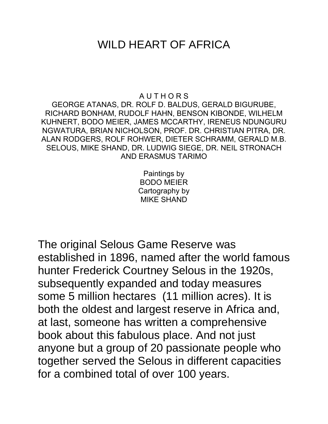## WILD HEART OF AFRICA

## A U T H O R S

GEORGE ATANAS, DR. ROLF D. BALDUS, GERALD BIGURUBE, RICHARD BONHAM, RUDOLF HAHN, BENSON KIBONDE, WILHELM KUHNERT, BODO MEIER, JAMES MCCARTHY, IRENEUS NDUNGURU NGWATURA, BRIAN NICHOLSON, PROF. DR. CHRISTIAN PITRA, DR. ALAN RODGERS, ROLF ROHWER, DIETER SCHRAMM, GERALD M.B. SELOUS, MIKE SHAND, DR. LUDWIG SIEGE, DR. NEIL STRONACH AND ERASMUS TARIMO

> Paintings by BODO MEIER Cartography by MIKE SHAND

The original Selous Game Reserve was established in 1896, named after the world famous hunter Frederick Courtney Selous in the 1920s, subsequently expanded and today measures some 5 million hectares (11 million acres). It is both the oldest and largest reserve in Africa and, at last, someone has written a comprehensive book about this fabulous place. And not just anyone but a group of 20 passionate people who together served the Selous in different capacities for a combined total of over 100 years.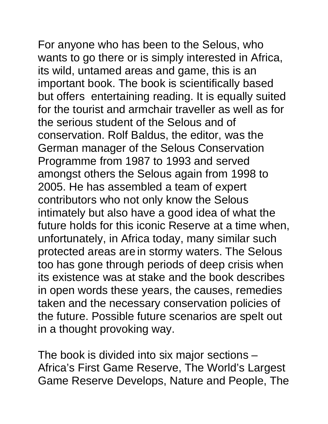For anyone who has been to the Selous, who wants to go there or is simply interested in Africa, its wild, untamed areas and game, this is an important book. The book is scientifically based but offers entertaining reading. It is equally suited for the tourist and armchair traveller as well as for the serious student of the Selous and of conservation. Rolf Baldus, the editor, was the German manager of the Selous Conservation Programme from 1987 to 1993 and served amongst others the Selous again from 1998 to 2005. He has assembled a team of expert contributors who not only know the Selous intimately but also have a good idea of what the future holds for this iconic Reserve at a time when, unfortunately, in Africa today, many similar such protected areas are in stormy waters. The Selous too has gone through periods of deep crisis when its existence was at stake and the book describes in open words these years, the causes, remedies taken and the necessary conservation policies of the future. Possible future scenarios are spelt out in a thought provoking way.

The book is divided into six major sections – Africa's First Game Reserve, The World's Largest Game Reserve Develops, Nature and People, The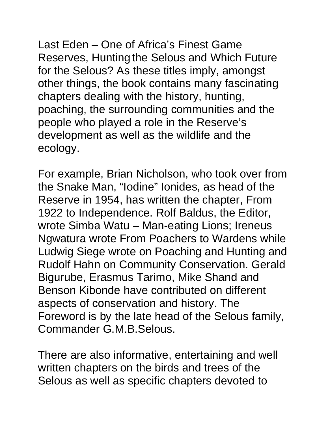Last Eden – One of Africa's Finest Game Reserves, Hunting the Selous and Which Future for the Selous? As these titles imply, amongst other things, the book contains many fascinating chapters dealing with the history, hunting, poaching, the surrounding communities and the people who played a role in the Reserve's development as well as the wildlife and the ecology.

For example, Brian Nicholson, who took over from the Snake Man, "Iodine" Ionides, as head of the Reserve in 1954, has written the chapter, From 1922 to Independence. Rolf Baldus, the Editor, wrote Simba Watu – Man-eating Lions; Ireneus Ngwatura wrote From Poachers to Wardens while Ludwig Siege wrote on Poaching and Hunting and Rudolf Hahn on Community Conservation. Gerald Bigurube, Erasmus Tarimo, Mike Shand and Benson Kibonde have contributed on different aspects of conservation and history. The Foreword is by the late head of the Selous family, Commander G.M.B.Selous.

There are also informative, entertaining and well written chapters on the birds and trees of the Selous as well as specific chapters devoted to